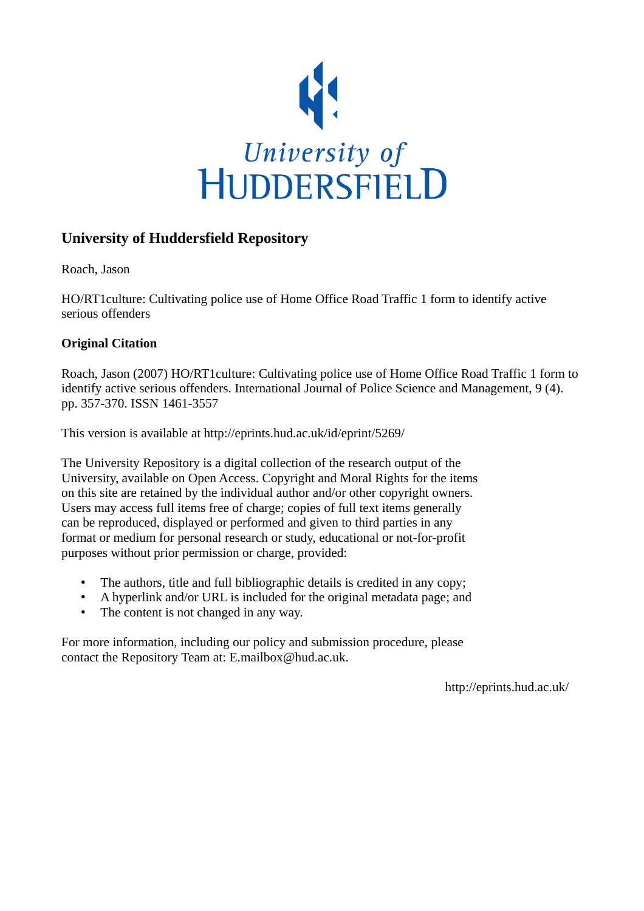

# **University of Huddersfield Repository**

Roach, Jason

HO/RT1culture: Cultivating police use of Home Office Road Traffic 1 form to identify active serious offenders

# **Original Citation**

Roach, Jason (2007) HO/RT1culture: Cultivating police use of Home Office Road Traffic 1 form to identify active serious offenders. International Journal of Police Science and Management, 9 (4). pp. 357-370. ISSN 1461-3557

This version is available at http://eprints.hud.ac.uk/id/eprint/5269/

The University Repository is a digital collection of the research output of the University, available on Open Access. Copyright and Moral Rights for the items on this site are retained by the individual author and/or other copyright owners. Users may access full items free of charge; copies of full text items generally can be reproduced, displayed or performed and given to third parties in any format or medium for personal research or study, educational or not-for-profit purposes without prior permission or charge, provided:

- The authors, title and full bibliographic details is credited in any copy;
- A hyperlink and/or URL is included for the original metadata page; and
- The content is not changed in any way.

For more information, including our policy and submission procedure, please contact the Repository Team at: E.mailbox@hud.ac.uk.

http://eprints.hud.ac.uk/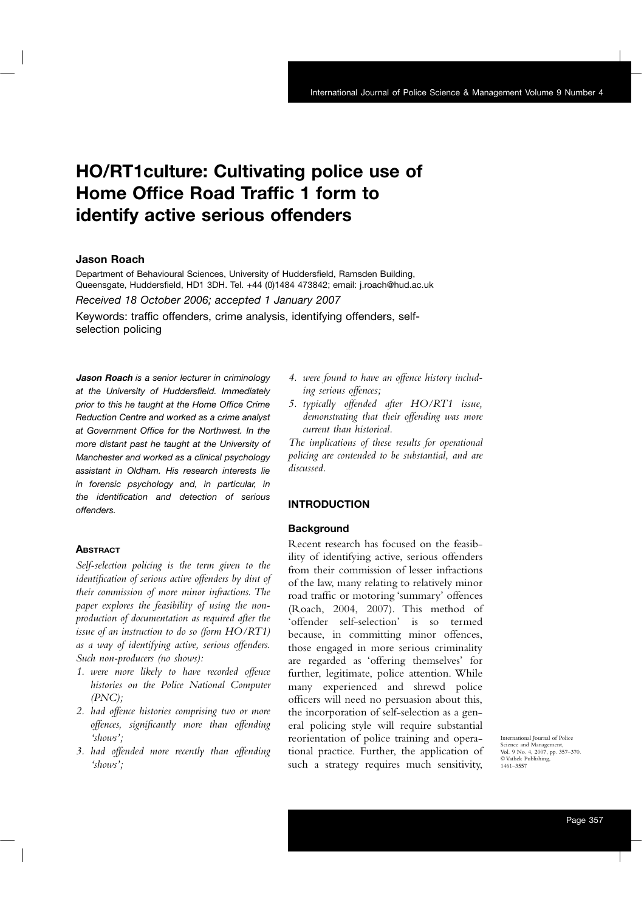# **HO/RT1culture: Cultivating police use of Home Office Road Traffic 1 form to identify active serious offenders**

# **Jason Roach**

Department of Behavioural Sciences, University of Huddersfield, Ramsden Building, Queensgate, Huddersfield, HD1 3DH. Tel. +44 (0)1484 473842; email: j.roach@hud.ac.uk

*Received 18 October 2006; accepted 1 January 2007*

Keywords: traffic offenders, crime analysis, identifying offenders, selfselection policing

**Jason Roach** *is a senior lecturer in criminology at the University of Huddersfield. Immediately prior to this he taught at the Home Office Crime Reduction Centre and worked as a crime analyst at Government Office for the Northwest. In the more distant past he taught at the University of Manchester and worked as a clinical psychology assistant in Oldham. His research interests lie in forensic psychology and, in particular, in the identification and detection of serious offenders.*

## **ABSTRACT**

*Self-selection policing is the term given to the identification of serious active offenders by dint of their commission of more minor infractions. The paper explores the feasibility of using the nonproduction of documentation as required after the issue of an instruction to do so (form HO/RT1) as a way of identifying active, serious offenders. Such non-producers (no shows):*

- *1. were more likely to have recorded offence histories on the Police National Computer (PNC);*
- *2. had offence histories comprising two or more offences, significantly more than offending 'shows';*
- *3. had offended more recently than offending 'shows';*
- *4. were found to have an offence history including serious offences;*
- *5. typically offended after HO/RT1 issue, demonstrating that their offending was more current than historical.*

*The implications of these results for operational policing are contended to be substantial, and are discussed.*

# **INTRODUCTION**

# **Background**

Recent research has focused on the feasibility of identifying active, serious offenders from their commission of lesser infractions of the law, many relating to relatively minor road traffic or motoring 'summary' offences (Roach, 2004, 2007). This method of 'offender self-selection' is so termed because, in committing minor offences, those engaged in more serious criminality are regarded as 'offering themselves' for further, legitimate, police attention. While many experienced and shrewd police officers will need no persuasion about this, the incorporation of self-selection as a general policing style will require substantial reorientation of police training and operational practice. Further, the application of such a strategy requires much sensitivity,

International Journal of Police Science and Management, Vol. 9 No. 4, 2007, pp. 357–370. © Vathek Publishing, 1461–3557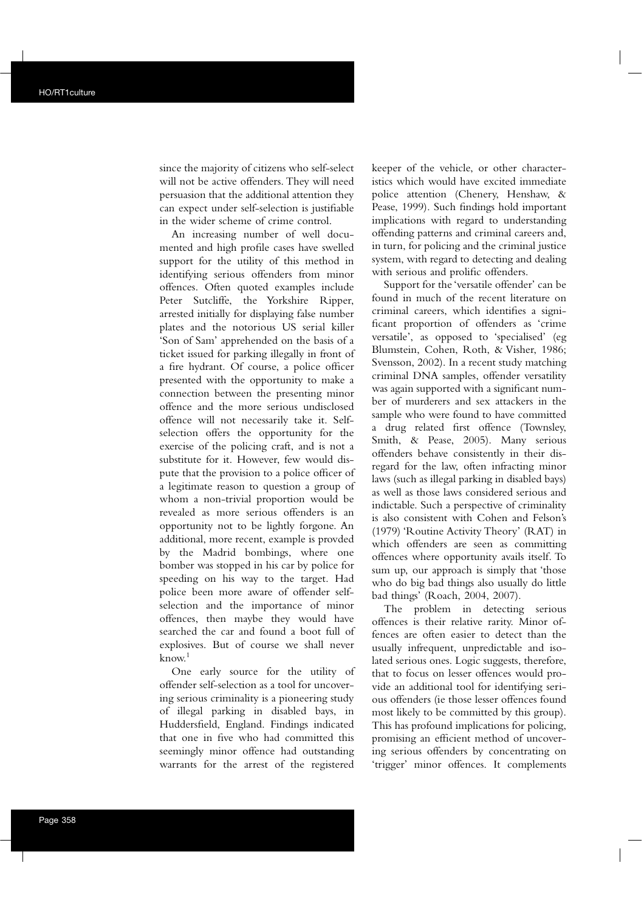since the majority of citizens who self-select will not be active offenders. They will need persuasion that the additional attention they can expect under self-selection is justifiable in the wider scheme of crime control.

An increasing number of well documented and high profile cases have swelled support for the utility of this method in identifying serious offenders from minor offences. Often quoted examples include Peter Sutcliffe, the Yorkshire Ripper, arrested initially for displaying false number plates and the notorious US serial killer 'Son of Sam' apprehended on the basis of a ticket issued for parking illegally in front of a fire hydrant. Of course, a police officer presented with the opportunity to make a connection between the presenting minor offence and the more serious undisclosed offence will not necessarily take it. Selfselection offers the opportunity for the exercise of the policing craft, and is not a substitute for it. However, few would dispute that the provision to a police officer of a legitimate reason to question a group of whom a non-trivial proportion would be revealed as more serious offenders is an opportunity not to be lightly forgone. An additional, more recent, example is provded by the Madrid bombings, where one bomber was stopped in his car by police for speeding on his way to the target. Had police been more aware of offender selfselection and the importance of minor offences, then maybe they would have searched the car and found a boot full of explosives. But of course we shall never  $k$ now.<sup>1</sup>

One early source for the utility of offender self-selection as a tool for uncovering serious criminality is a pioneering study of illegal parking in disabled bays, in Huddersfield, England. Findings indicated that one in five who had committed this seemingly minor offence had outstanding warrants for the arrest of the registered

keeper of the vehicle, or other characteristics which would have excited immediate police attention (Chenery, Henshaw, & Pease, 1999). Such findings hold important implications with regard to understanding offending patterns and criminal careers and, in turn, for policing and the criminal justice system, with regard to detecting and dealing with serious and prolific offenders.

Support for the 'versatile offender' can be found in much of the recent literature on criminal careers, which identifies a significant proportion of offenders as 'crime versatile', as opposed to 'specialised' (eg Blumstein, Cohen, Roth, & Visher, 1986; Svensson, 2002). In a recent study matching criminal DNA samples, offender versatility was again supported with a significant number of murderers and sex attackers in the sample who were found to have committed a drug related first offence (Townsley, Smith, & Pease, 2005). Many serious offenders behave consistently in their disregard for the law, often infracting minor laws (such as illegal parking in disabled bays) as well as those laws considered serious and indictable. Such a perspective of criminality is also consistent with Cohen and Felson's (1979) 'Routine Activity Theory' (RAT) in which offenders are seen as committing offences where opportunity avails itself. To sum up, our approach is simply that 'those who do big bad things also usually do little bad things' (Roach, 2004, 2007).

The problem in detecting serious offences is their relative rarity. Minor offences are often easier to detect than the usually infrequent, unpredictable and isolated serious ones. Logic suggests, therefore, that to focus on lesser offences would provide an additional tool for identifying serious offenders (ie those lesser offences found most likely to be committed by this group). This has profound implications for policing, promising an efficient method of uncovering serious offenders by concentrating on 'trigger' minor offences. It complements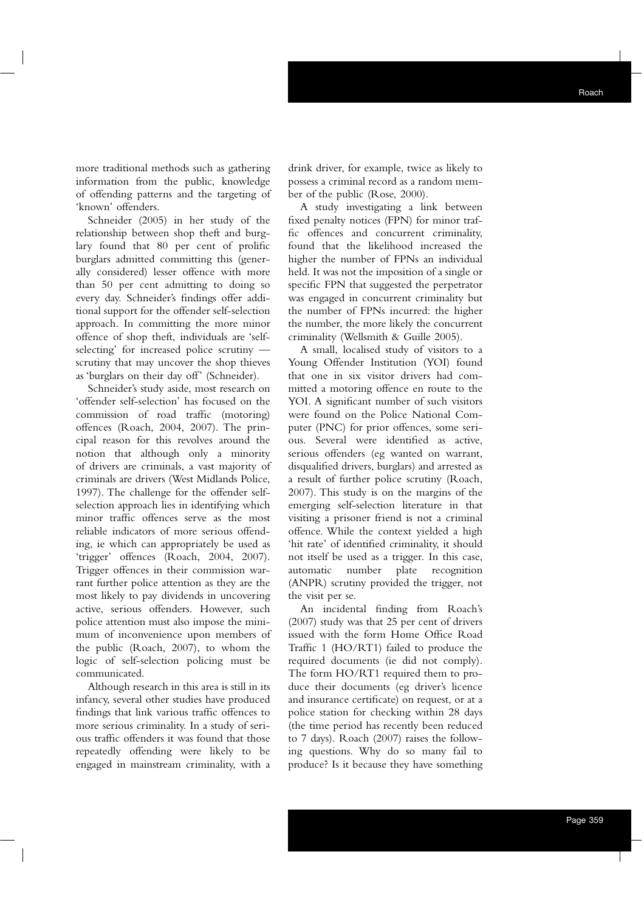more traditional methods such as gathering information from the public, knowledge of offending patterns and the targeting of 'known' offenders.

Schneider (2005) in her study of the relationship between shop theft and burglary found that 80 per cent of prolific burglars admitted committing this (generally considered) lesser offence with more than 50 per cent admitting to doing so every day. Schneider's findings offer additional support for the offender self-selection approach. In committing the more minor offence of shop theft, individuals are 'selfselecting' for increased police scrutiny scrutiny that may uncover the shop thieves as 'burglars on their day off' (Schneider).

Schneider's study aside, most research on 'offender self-selection' has focused on the commission of road traffic (motoring) offences (Roach, 2004, 2007). The principal reason for this revolves around the notion that although only a minority of drivers are criminals, a vast majority of criminals are drivers (West Midlands Police, 1997). The challenge for the offender selfselection approach lies in identifying which minor traffic offences serve as the most reliable indicators of more serious offending, ie which can appropriately be used as 'trigger' offences (Roach, 2004, 2007). Trigger offences in their commission warrant further police attention as they are the most likely to pay dividends in uncovering active, serious offenders. However, such police attention must also impose the minimum of inconvenience upon members of the public (Roach, 2007), to whom the logic of self-selection policing must be communicated.

Although research in this area is still in its infancy, several other studies have produced findings that link various traffic offences to more serious criminality. In a study of serious traffic offenders it was found that those repeatedly offending were likely to be engaged in mainstream criminality, with a drink driver, for example, twice as likely to possess a criminal record as a random member of the public (Rose, 2000).

A study investigating a link between fixed penalty notices (FPN) for minor traffic offences and concurrent criminality, found that the likelihood increased the higher the number of FPNs an individual held. It was not the imposition of a single or specific FPN that suggested the perpetrator was engaged in concurrent criminality but the number of FPNs incurred: the higher the number, the more likely the concurrent criminality (Wellsmith & Guille 2005).

A small, localised study of visitors to a Young Offender Institution (YOI) found that one in six visitor drivers had committed a motoring offence en route to the YOI. A significant number of such visitors were found on the Police National Computer (PNC) for prior offences, some serious. Several were identified as active, serious offenders (eg wanted on warrant, disqualified drivers, burglars) and arrested as a result of further police scrutiny (Roach, 2007). This study is on the margins of the emerging self-selection literature in that visiting a prisoner friend is not a criminal offence. While the context yielded a high 'hit rate' of identified criminality, it should not itself be used as a trigger. In this case, automatic number plate recognition (ANPR) scrutiny provided the trigger, not the visit per se.

An incidental finding from Roach's (2007) study was that 25 per cent of drivers issued with the form Home Office Road Traffic 1 (HO/RT1) failed to produce the required documents (ie did not comply). The form HO/RT1 required them to produce their documents (eg driver's licence and insurance certificate) on request, or at a police station for checking within 28 days (the time period has recently been reduced to 7 days). Roach (2007) raises the following questions. Why do so many fail to produce? Is it because they have something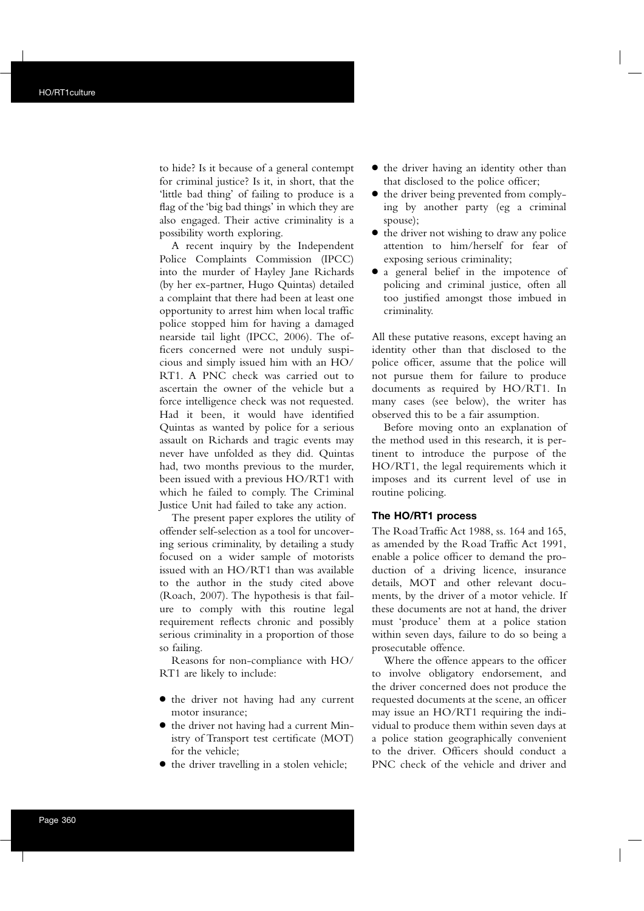to hide? Is it because of a general contempt for criminal justice? Is it, in short, that the 'little bad thing' of failing to produce is a flag of the 'big bad things' in which they are also engaged. Their active criminality is a possibility worth exploring.

A recent inquiry by the Independent Police Complaints Commission (IPCC) into the murder of Hayley Jane Richards (by her ex-partner, Hugo Quintas) detailed a complaint that there had been at least one opportunity to arrest him when local traffic police stopped him for having a damaged nearside tail light (IPCC, 2006). The officers concerned were not unduly suspicious and simply issued him with an HO/ RT1. A PNC check was carried out to ascertain the owner of the vehicle but a force intelligence check was not requested. Had it been, it would have identified Quintas as wanted by police for a serious assault on Richards and tragic events may never have unfolded as they did. Quintas had, two months previous to the murder, been issued with a previous HO/RT1 with which he failed to comply. The Criminal Justice Unit had failed to take any action.

The present paper explores the utility of offender self-selection as a tool for uncovering serious criminality, by detailing a study focused on a wider sample of motorists issued with an HO/RT1 than was available to the author in the study cited above (Roach, 2007). The hypothesis is that failure to comply with this routine legal requirement reflects chronic and possibly serious criminality in a proportion of those so failing.

Reasons for non-compliance with HO/ RT1 are likely to include:

- the driver not having had any current motor insurance;
- the driver not having had a current Ministry of Transport test certificate (MOT) for the vehicle;
- the driver travelling in a stolen vehicle;
- the driver having an identity other than that disclosed to the police officer;
- the driver being prevented from complying by another party (eg a criminal spouse);
- the driver not wishing to draw any police attention to him/herself for fear of exposing serious criminality;
- a general belief in the impotence of policing and criminal justice, often all too justified amongst those imbued in criminality.

All these putative reasons, except having an identity other than that disclosed to the police officer, assume that the police will not pursue them for failure to produce documents as required by HO/RT1. In many cases (see below), the writer has observed this to be a fair assumption.

Before moving onto an explanation of the method used in this research, it is pertinent to introduce the purpose of the HO/RT1, the legal requirements which it imposes and its current level of use in routine policing.

# **The HO/RT1 process**

The Road Traffic Act 1988, ss. 164 and 165, as amended by the Road Traffic Act 1991, enable a police officer to demand the production of a driving licence, insurance details, MOT and other relevant documents, by the driver of a motor vehicle. If these documents are not at hand, the driver must 'produce' them at a police station within seven days, failure to do so being a prosecutable offence.

Where the offence appears to the officer to involve obligatory endorsement, and the driver concerned does not produce the requested documents at the scene, an officer may issue an HO/RT1 requiring the individual to produce them within seven days at a police station geographically convenient to the driver. Officers should conduct a PNC check of the vehicle and driver and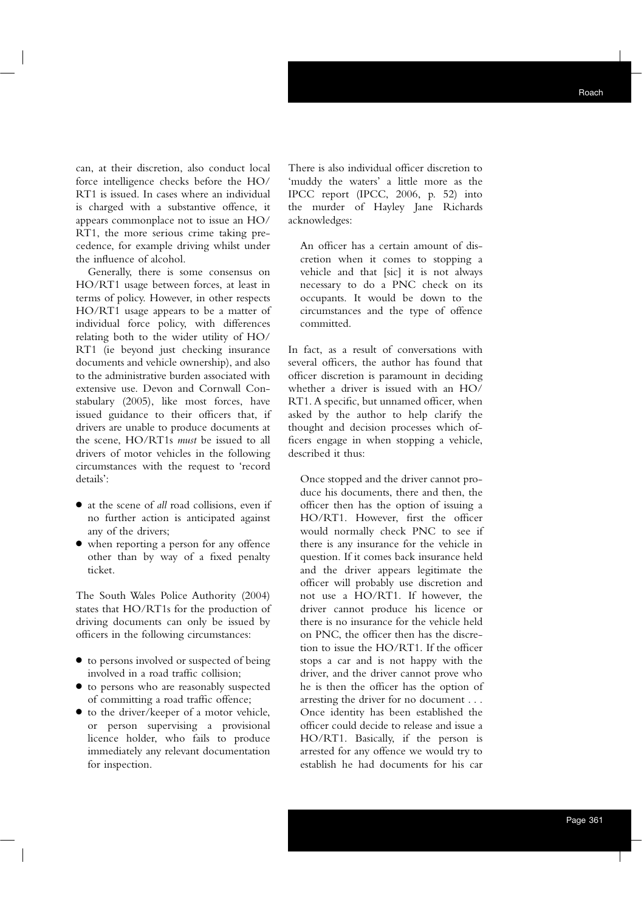can, at their discretion, also conduct local force intelligence checks before the HO/ RT1 is issued. In cases where an individual is charged with a substantive offence, it appears commonplace not to issue an HO/ RT1, the more serious crime taking precedence, for example driving whilst under the influence of alcohol.

Generally, there is some consensus on HO/RT1 usage between forces, at least in terms of policy. However, in other respects HO/RT1 usage appears to be a matter of individual force policy, with differences relating both to the wider utility of HO/ RT1 (ie beyond just checking insurance documents and vehicle ownership), and also to the administrative burden associated with extensive use. Devon and Cornwall Constabulary (2005), like most forces, have issued guidance to their officers that, if drivers are unable to produce documents at the scene, HO/RT1s *must* be issued to all drivers of motor vehicles in the following circumstances with the request to 'record details':

- at the scene of *all* road collisions, even if no further action is anticipated against any of the drivers;
- when reporting a person for any offence other than by way of a fixed penalty ticket.

The South Wales Police Authority (2004) states that HO/RT1s for the production of driving documents can only be issued by officers in the following circumstances:

- to persons involved or suspected of being involved in a road traffic collision;
- to persons who are reasonably suspected of committing a road traffic offence;
- to the driver/keeper of a motor vehicle, or person supervising a provisional licence holder, who fails to produce immediately any relevant documentation for inspection.

There is also individual officer discretion to 'muddy the waters' a little more as the IPCC report (IPCC, 2006, p. 52) into the murder of Hayley Jane Richards acknowledges:

An officer has a certain amount of discretion when it comes to stopping a vehicle and that [sic] it is not always necessary to do a PNC check on its occupants. It would be down to the circumstances and the type of offence committed.

In fact, as a result of conversations with several officers, the author has found that officer discretion is paramount in deciding whether a driver is issued with an HO/ RT1. A specific, but unnamed officer, when asked by the author to help clarify the thought and decision processes which officers engage in when stopping a vehicle, described it thus:

Once stopped and the driver cannot produce his documents, there and then, the officer then has the option of issuing a HO/RT1. However, first the officer would normally check PNC to see if there is any insurance for the vehicle in question. If it comes back insurance held and the driver appears legitimate the officer will probably use discretion and not use a HO/RT1. If however, the driver cannot produce his licence or there is no insurance for the vehicle held on PNC, the officer then has the discretion to issue the HO/RT1. If the officer stops a car and is not happy with the driver, and the driver cannot prove who he is then the officer has the option of arresting the driver for no document . . . Once identity has been established the officer could decide to release and issue a HO/RT1. Basically, if the person is arrested for any offence we would try to establish he had documents for his car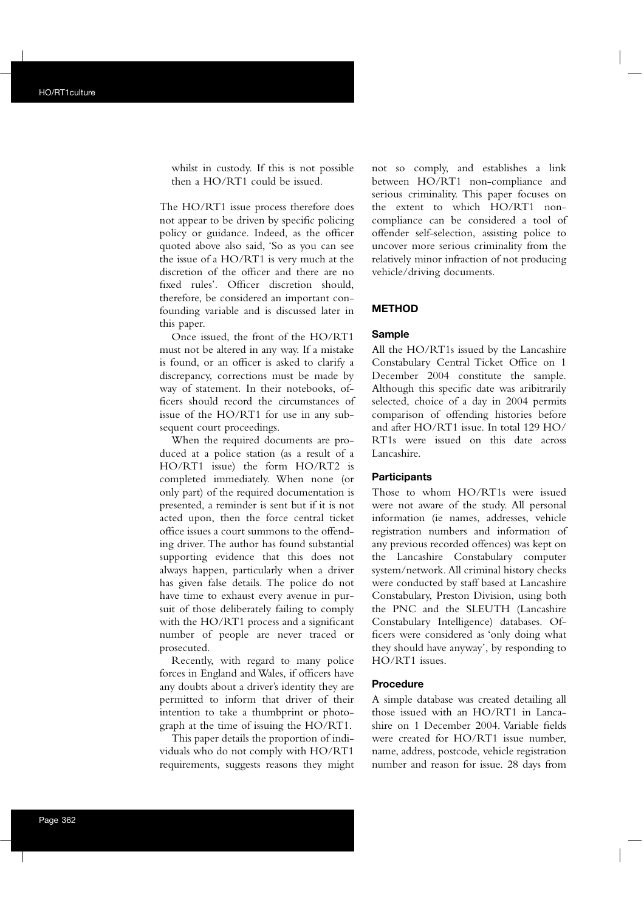whilst in custody. If this is not possible then a HO/RT1 could be issued.

The HO/RT1 issue process therefore does not appear to be driven by specific policing policy or guidance. Indeed, as the officer quoted above also said, 'So as you can see the issue of a HO/RT1 is very much at the discretion of the officer and there are no fixed rules'. Officer discretion should, therefore, be considered an important confounding variable and is discussed later in this paper.

Once issued, the front of the HO/RT1 must not be altered in any way. If a mistake is found, or an officer is asked to clarify a discrepancy, corrections must be made by way of statement. In their notebooks, officers should record the circumstances of issue of the HO/RT1 for use in any subsequent court proceedings.

When the required documents are produced at a police station (as a result of a HO/RT1 issue) the form HO/RT2 is completed immediately. When none (or only part) of the required documentation is presented, a reminder is sent but if it is not acted upon, then the force central ticket office issues a court summons to the offending driver. The author has found substantial supporting evidence that this does not always happen, particularly when a driver has given false details. The police do not have time to exhaust every avenue in pursuit of those deliberately failing to comply with the HO/RT1 process and a significant number of people are never traced or prosecuted.

Recently, with regard to many police forces in England and Wales, if officers have any doubts about a driver's identity they are permitted to inform that driver of their intention to take a thumbprint or photograph at the time of issuing the HO/RT1.

This paper details the proportion of individuals who do not comply with HO/RT1 requirements, suggests reasons they might not so comply, and establishes a link between HO/RT1 non-compliance and serious criminality. This paper focuses on the extent to which HO/RT1 noncompliance can be considered a tool of offender self-selection, assisting police to uncover more serious criminality from the relatively minor infraction of not producing vehicle/driving documents.

#### **METHOD**

#### **Sample**

All the HO/RT1s issued by the Lancashire Constabulary Central Ticket Office on 1 December 2004 constitute the sample. Although this specific date was aribitrarily selected, choice of a day in 2004 permits comparison of offending histories before and after HO/RT1 issue. In total 129 HO/ RT1s were issued on this date across Lancashire.

#### **Participants**

Those to whom HO/RT1s were issued were not aware of the study. All personal information (ie names, addresses, vehicle registration numbers and information of any previous recorded offences) was kept on the Lancashire Constabulary computer system/network. All criminal history checks were conducted by staff based at Lancashire Constabulary, Preston Division, using both the PNC and the SLEUTH (Lancashire Constabulary Intelligence) databases. Officers were considered as 'only doing what they should have anyway', by responding to HO/RT1 issues.

#### **Procedure**

A simple database was created detailing all those issued with an HO/RT1 in Lancashire on 1 December 2004. Variable fields were created for HO/RT1 issue number, name, address, postcode, vehicle registration number and reason for issue. 28 days from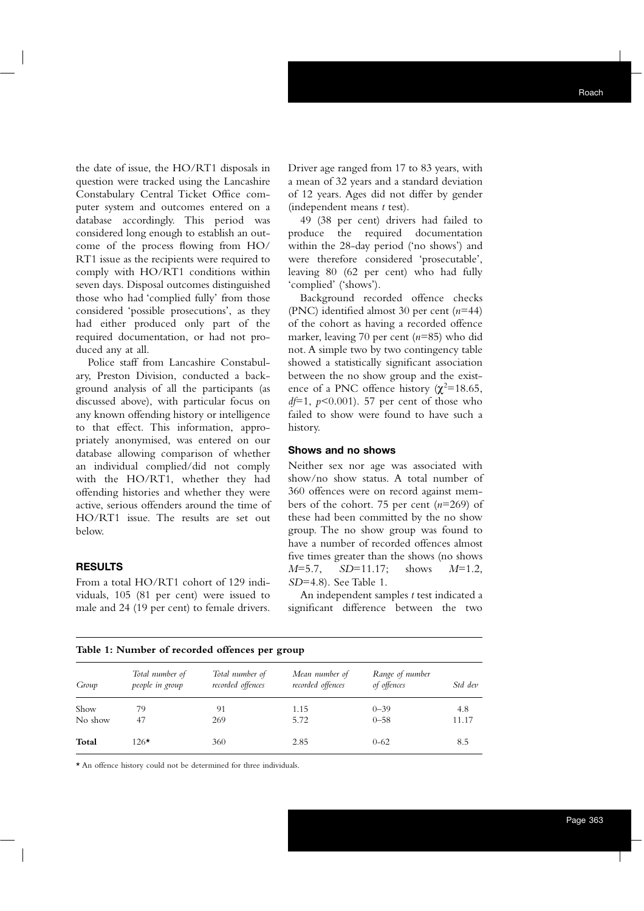the date of issue, the HO/RT1 disposals in question were tracked using the Lancashire Constabulary Central Ticket Office computer system and outcomes entered on a database accordingly. This period was considered long enough to establish an outcome of the process flowing from HO/ RT1 issue as the recipients were required to comply with HO/RT1 conditions within seven days. Disposal outcomes distinguished those who had 'complied fully' from those considered 'possible prosecutions', as they had either produced only part of the required documentation, or had not produced any at all.

Police staff from Lancashire Constabulary, Preston Division, conducted a background analysis of all the participants (as discussed above), with particular focus on any known offending history or intelligence to that effect. This information, appropriately anonymised, was entered on our database allowing comparison of whether an individual complied/did not comply with the HO/RT1, whether they had offending histories and whether they were active, serious offenders around the time of HO/RT1 issue. The results are set out below.

#### **RESULTS**

From a total HO/RT1 cohort of 129 individuals, 105 (81 per cent) were issued to male and 24 (19 per cent) to female drivers.

Driver age ranged from 17 to 83 years, with a mean of 32 years and a standard deviation of 12 years. Ages did not differ by gender (independent means *t* test).

49 (38 per cent) drivers had failed to produce the required documentation within the 28-day period ('no shows') and were therefore considered 'prosecutable', leaving 80 (62 per cent) who had fully 'complied' ('shows').

Background recorded offence checks (PNC) identified almost 30 per cent (*n*=44) of the cohort as having a recorded offence marker, leaving 70 per cent (*n*=85) who did not. A simple two by two contingency table showed a statistically significant association between the no show group and the existence of a PNC offence history ( $\chi^2$ =18.65, *df*=1, *p*<0.001). 57 per cent of those who failed to show were found to have such a history.

#### **Shows and no shows**

Neither sex nor age was associated with show/no show status. A total number of 360 offences were on record against members of the cohort. 75 per cent (*n*=269) of these had been committed by the no show group. The no show group was found to have a number of recorded offences almost five times greater than the shows (no shows *M*=5.7, *SD*=11.17; shows *M*=1.2, *SD*=4.8). See Table 1.

An independent samples *t* test indicated a significant difference between the two

| Group   | Total number of<br>people in group | Total number of<br>recorded offences | Mean number of<br>recorded offences | Range of number<br>of offences | Std dev |
|---------|------------------------------------|--------------------------------------|-------------------------------------|--------------------------------|---------|
| Show    | 79                                 | 91                                   | 1.15                                | $0 - 39$                       | 4.8     |
| No show | 47                                 | 269                                  | 5.72                                | $0 - 58$                       | 11.17   |
| Total   | $126*$                             | 360                                  | 2.85                                | $0 - 62$                       | 8.5     |

**Table 1: Number of recorded offences per group**

\* An offence history could not be determined for three individuals.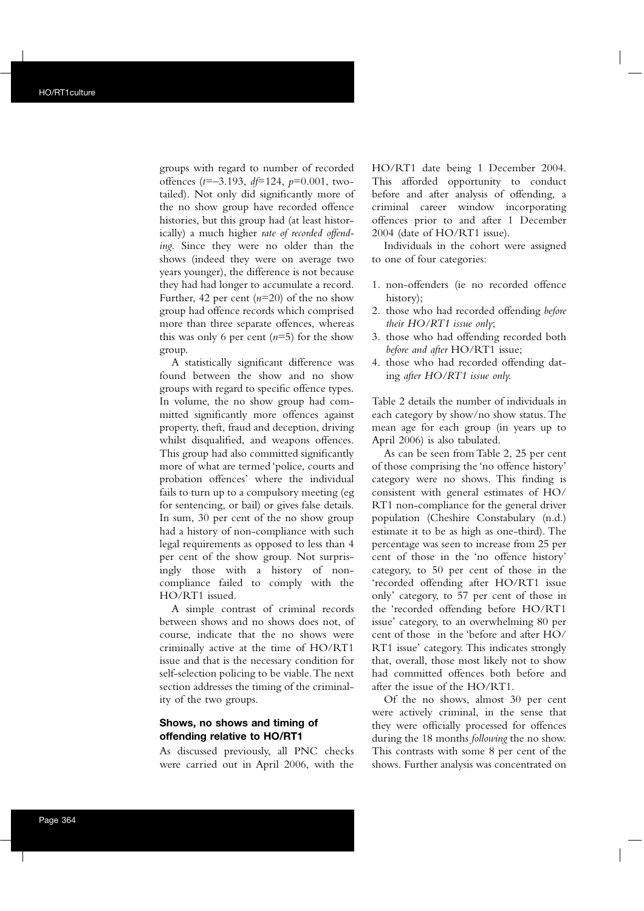groups with regard to number of recorded offences (*t*=–3.193, *df*=124, *p*=0.001, twotailed). Not only did significantly more of the no show group have recorded offence histories, but this group had (at least historically) a much higher *rate of recorded offending*. Since they were no older than the shows (indeed they were on average two years younger), the difference is not because they had had longer to accumulate a record. Further, 42 per cent  $(n=20)$  of the no show group had offence records which comprised more than three separate offences, whereas this was only 6 per cent  $(n=5)$  for the show group.

A statistically significant difference was found between the show and no show groups with regard to specific offence types. In volume, the no show group had committed significantly more offences against property, theft, fraud and deception, driving whilst disqualified, and weapons offences. This group had also committed significantly more of what are termed 'police, courts and probation offences' where the individual fails to turn up to a compulsory meeting (eg for sentencing, or bail) or gives false details. In sum, 30 per cent of the no show group had a history of non-compliance with such legal requirements as opposed to less than 4 per cent of the show group. Not surprisingly those with a history of noncompliance failed to comply with the HO/RT1 issued.

A simple contrast of criminal records between shows and no shows does not, of course, indicate that the no shows were criminally active at the time of HO/RT1 issue and that is the necessary condition for self-selection policing to be viable. The next section addresses the timing of the criminality of the two groups.

# **Shows, no shows and timing of offending relative to HO/RT1**

As discussed previously, all PNC checks were carried out in April 2006, with the HO/RT1 date being 1 December 2004. This afforded opportunity to conduct before and after analysis of offending, a criminal career window incorporating offences prior to and after 1 December 2004 (date of HO/RT1 issue).

Individuals in the cohort were assigned to one of four categories:

- 1. non-offenders (ie no recorded offence history);
- 2. those who had recorded offending *before their HO/RT1 issue only*;
- 3. those who had offending recorded both *before and after* HO/RT1 issue;
- 4. those who had recorded offending dating *after HO/RT1 issue only*.

Table 2 details the number of individuals in each category by show/no show status. The mean age for each group (in years up to April 2006) is also tabulated.

As can be seen from Table 2, 25 per cent of those comprising the 'no offence history' category were no shows. This finding is consistent with general estimates of HO/ RT1 non-compliance for the general driver population (Cheshire Constabulary (n.d.) estimate it to be as high as one-third). The percentage was seen to increase from 25 per cent of those in the 'no offence history' category, to 50 per cent of those in the 'recorded offending after HO/RT1 issue only' category, to 57 per cent of those in the 'recorded offending before HO/RT1 issue' category, to an overwhelming 80 per cent of those in the 'before and after HO/ RT1 issue' category. This indicates strongly that, overall, those most likely not to show had committed offences both before and after the issue of the HO/RT1.

Of the no shows, almost 30 per cent were actively criminal, in the sense that they were officially processed for offences during the 18 months *following* the no show. This contrasts with some 8 per cent of the shows. Further analysis was concentrated on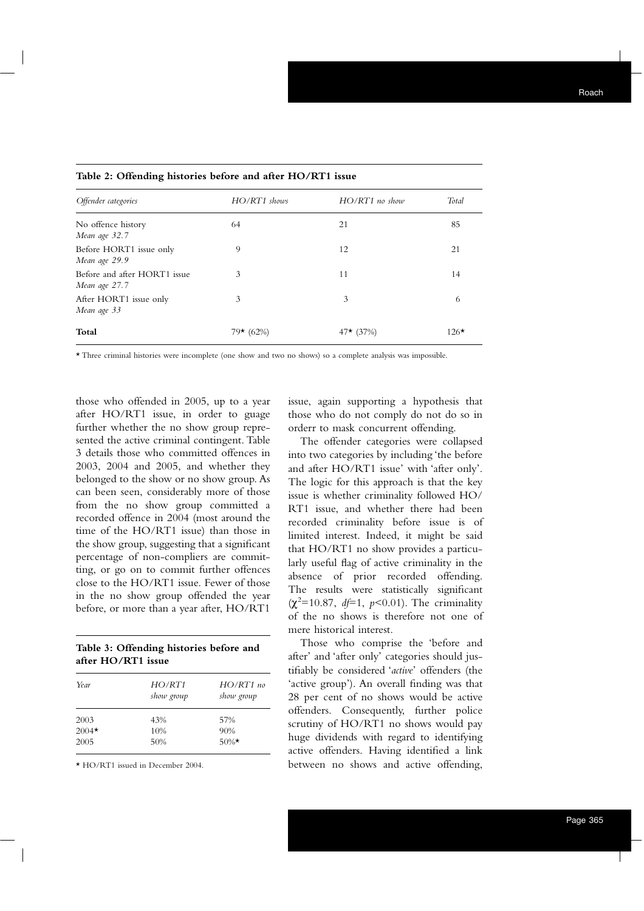Roach

| Offender categories                           | $HO/RT1$ shows | $HO/RT1$ no show | Total  |
|-----------------------------------------------|----------------|------------------|--------|
| No offence history<br>Mean age 32.7           | 64             | 21               | 85     |
| Before HORT1 issue only<br>Mean age 29.9      | 9              | 12               | 21     |
| Before and after HORT1 issue<br>Mean age 27.7 | 3              | 11               | 14     |
| After HORT1 issue only<br>Mean age 33         | 3              | 3                | 6      |
| Total                                         | $79*(62%)$     | $47*(37%)$       | $126*$ |

**Table 2: Offending histories before and after HO/RT1 issue**

\* Three criminal histories were incomplete (one show and two no shows) so a complete analysis was impossible.

those who offended in 2005, up to a year after HO/RT1 issue, in order to guage further whether the no show group represented the active criminal contingent. Table 3 details those who committed offences in 2003, 2004 and 2005, and whether they belonged to the show or no show group. As can been seen, considerably more of those from the no show group committed a recorded offence in 2004 (most around the time of the HO/RT1 issue) than those in the show group, suggesting that a significant percentage of non-compliers are committing, or go on to commit further offences close to the HO/RT1 issue. Fewer of those in the no show group offended the year before, or more than a year after, HO/RT1

**Table 3: Offending histories before and after HO/RT1 issue**

| Year    | HO/RT1<br>show group | $HO/RT1$ no<br>show group |
|---------|----------------------|---------------------------|
| 2003    | 43%                  | 57%                       |
| $2004*$ | 10%                  | 90%                       |
| 2005    | 50%                  | $50\%$ *                  |

<sup>\*</sup> HO/RT1 issued in December 2004.

issue, again supporting a hypothesis that those who do not comply do not do so in orderr to mask concurrent offending.

The offender categories were collapsed into two categories by including 'the before and after HO/RT1 issue' with 'after only'. The logic for this approach is that the key issue is whether criminality followed HO/ RT1 issue, and whether there had been recorded criminality before issue is of limited interest. Indeed, it might be said that HO/RT1 no show provides a particularly useful flag of active criminality in the absence of prior recorded offending. The results were statistically significant (χ <sup>2</sup>=10.87, *df*=1, *p*<0.01). The criminality of the no shows is therefore not one of mere historical interest.

Those who comprise the 'before and after' and 'after only' categories should justifiably be considered '*active*' offenders (the 'active group'). An overall finding was that 28 per cent of no shows would be active offenders. Consequently, further police scrutiny of HO/RT1 no shows would pay huge dividends with regard to identifying active offenders. Having identified a link between no shows and active offending,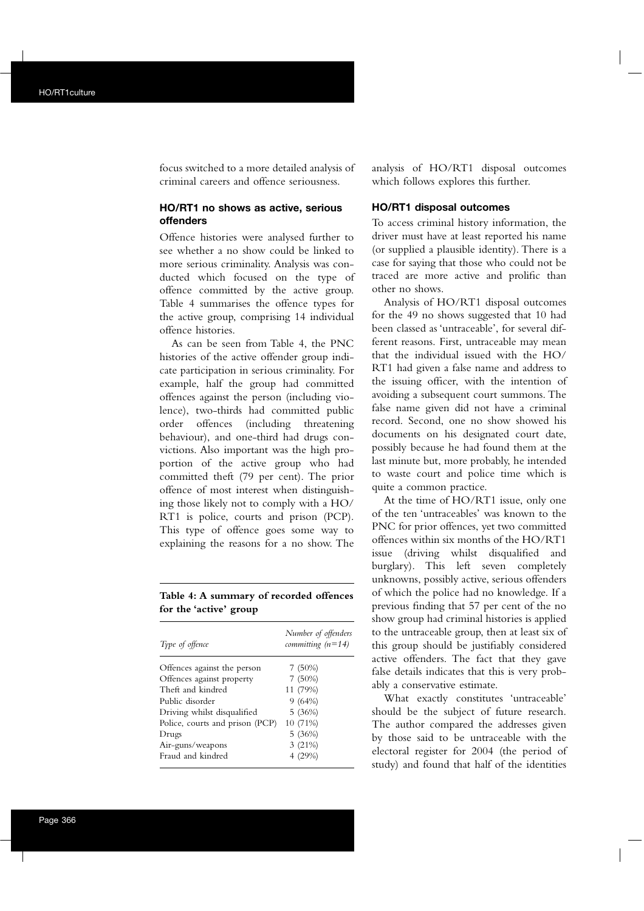focus switched to a more detailed analysis of criminal careers and offence seriousness.

# **HO/RT1 no shows as active, serious offenders**

Offence histories were analysed further to see whether a no show could be linked to more serious criminality. Analysis was conducted which focused on the type of offence committed by the active group. Table 4 summarises the offence types for the active group, comprising 14 individual offence histories.

As can be seen from Table 4, the PNC histories of the active offender group indicate participation in serious criminality. For example, half the group had committed offences against the person (including violence), two-thirds had committed public order offences (including threatening behaviour), and one-third had drugs convictions. Also important was the high proportion of the active group who had committed theft (79 per cent). The prior offence of most interest when distinguishing those likely not to comply with a HO/ RT1 is police, courts and prison (PCP). This type of offence goes some way to explaining the reasons for a no show. The

| Type of offence                 | Number of offenders<br>committing $(n=14)$ |
|---------------------------------|--------------------------------------------|
| Offences against the person     | $7(50\%)$                                  |
| Offences against property       | 7(50%)                                     |
| Theft and kindred               | 11 (79%)                                   |
| Public disorder                 | 9(64%)                                     |
| Driving whilst disqualified     | 5(36%)                                     |
| Police, courts and prison (PCP) | 10 (71%)                                   |
| Drugs                           | 5(36%)                                     |
| Air-guns/weapons                | 3(21%)                                     |
| Fraud and kindred               | 4 (29%)                                    |
|                                 |                                            |

|                        | Table 4: A summary of recorded offences |  |
|------------------------|-----------------------------------------|--|
| for the 'active' group |                                         |  |

analysis of HO/RT1 disposal outcomes which follows explores this further.

# **HO/RT1 disposal outcomes**

To access criminal history information, the driver must have at least reported his name (or supplied a plausible identity). There is a case for saying that those who could not be traced are more active and prolific than other no shows.

Analysis of HO/RT1 disposal outcomes for the 49 no shows suggested that 10 had been classed as 'untraceable', for several different reasons. First, untraceable may mean that the individual issued with the HO/ RT1 had given a false name and address to the issuing officer, with the intention of avoiding a subsequent court summons. The false name given did not have a criminal record. Second, one no show showed his documents on his designated court date, possibly because he had found them at the last minute but, more probably, he intended to waste court and police time which is quite a common practice.

At the time of HO/RT1 issue, only one of the ten 'untraceables' was known to the PNC for prior offences, yet two committed offences within six months of the HO/RT1 issue (driving whilst disqualified and burglary). This left seven completely unknowns, possibly active, serious offenders of which the police had no knowledge. If a previous finding that 57 per cent of the no show group had criminal histories is applied to the untraceable group, then at least six of this group should be justifiably considered active offenders. The fact that they gave false details indicates that this is very probably a conservative estimate.

What exactly constitutes 'untraceable' should be the subject of future research. The author compared the addresses given by those said to be untraceable with the electoral register for 2004 (the period of study) and found that half of the identities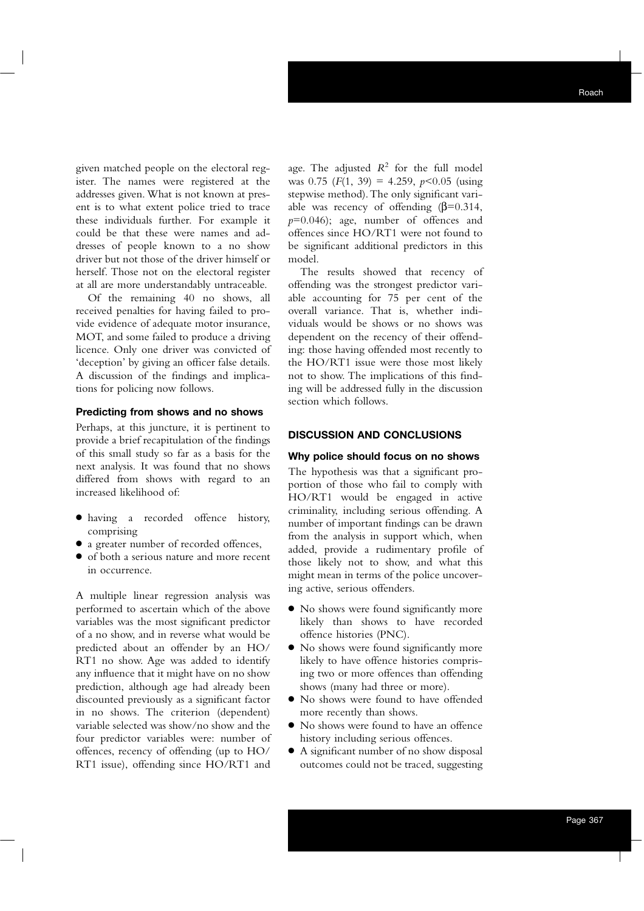given matched people on the electoral register. The names were registered at the addresses given. What is not known at present is to what extent police tried to trace these individuals further. For example it could be that these were names and addresses of people known to a no show driver but not those of the driver himself or herself. Those not on the electoral register at all are more understandably untraceable.

Of the remaining 40 no shows, all received penalties for having failed to provide evidence of adequate motor insurance, MOT, and some failed to produce a driving licence. Only one driver was convicted of 'deception' by giving an officer false details. A discussion of the findings and implications for policing now follows.

#### **Predicting from shows and no shows**

Perhaps, at this juncture, it is pertinent to provide a brief recapitulation of the findings of this small study so far as a basis for the next analysis. It was found that no shows differed from shows with regard to an increased likelihood of:

- having a recorded offence history, comprising
- a greater number of recorded offences,
- of both a serious nature and more recent in occurrence.

A multiple linear regression analysis was performed to ascertain which of the above variables was the most significant predictor of a no show, and in reverse what would be predicted about an offender by an HO/ RT1 no show. Age was added to identify any influence that it might have on no show prediction, although age had already been discounted previously as a significant factor in no shows. The criterion (dependent) variable selected was show/no show and the four predictor variables were: number of offences, recency of offending (up to HO/ RT1 issue), offending since HO/RT1 and

age. The adjusted  $R^2$  for the full model was 0.75 (*F*(1, 39) = 4.259, *p*<0.05 (using stepwise method). The only significant variable was recency of offending  $(β=0.314,$ *p*=0.046); age, number of offences and offences since HO/RT1 were not found to be significant additional predictors in this model.

The results showed that recency of offending was the strongest predictor variable accounting for 75 per cent of the overall variance. That is, whether individuals would be shows or no shows was dependent on the recency of their offending: those having offended most recently to the HO/RT1 issue were those most likely not to show. The implications of this finding will be addressed fully in the discussion section which follows.

# **DISCUSSION AND CONCLUSIONS**

#### **Why police should focus on no shows**

The hypothesis was that a significant proportion of those who fail to comply with HO/RT1 would be engaged in active criminality, including serious offending. A number of important findings can be drawn from the analysis in support which, when added, provide a rudimentary profile of those likely not to show, and what this might mean in terms of the police uncovering active, serious offenders.

- No shows were found significantly more likely than shows to have recorded offence histories (PNC).
- No shows were found significantly more likely to have offence histories comprising two or more offences than offending shows (many had three or more).
- No shows were found to have offended more recently than shows.
- No shows were found to have an offence history including serious offences.
- A significant number of no show disposal outcomes could not be traced, suggesting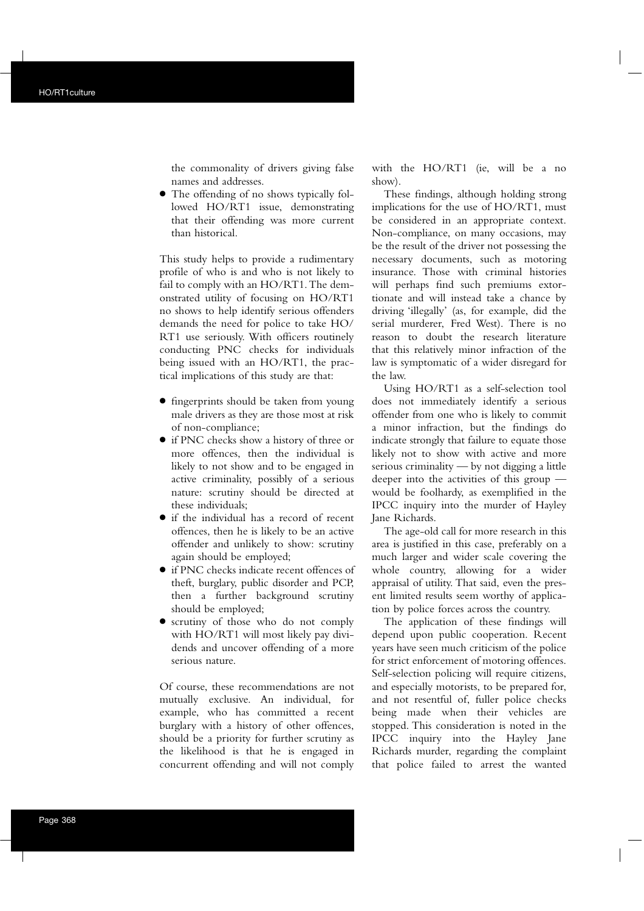the commonality of drivers giving false names and addresses.

● The offending of no shows typically followed HO/RT1 issue, demonstrating that their offending was more current than historical.

This study helps to provide a rudimentary profile of who is and who is not likely to fail to comply with an HO/RT1. The demonstrated utility of focusing on HO/RT1 no shows to help identify serious offenders demands the need for police to take HO/ RT1 use seriously. With officers routinely conducting PNC checks for individuals being issued with an HO/RT1, the practical implications of this study are that:

- fingerprints should be taken from young male drivers as they are those most at risk of non-compliance;
- if PNC checks show a history of three or more offences, then the individual is likely to not show and to be engaged in active criminality, possibly of a serious nature: scrutiny should be directed at these individuals;
- if the individual has a record of recent offences, then he is likely to be an active offender and unlikely to show: scrutiny again should be employed;
- if PNC checks indicate recent offences of theft, burglary, public disorder and PCP, then a further background scrutiny should be employed;
- scrutiny of those who do not comply with HO/RT1 will most likely pay dividends and uncover offending of a more serious nature.

Of course, these recommendations are not mutually exclusive. An individual, for example, who has committed a recent burglary with a history of other offences, should be a priority for further scrutiny as the likelihood is that he is engaged in concurrent offending and will not comply

with the HO/RT1 (ie, will be a no show).

These findings, although holding strong implications for the use of HO/RT1, must be considered in an appropriate context. Non-compliance, on many occasions, may be the result of the driver not possessing the necessary documents, such as motoring insurance. Those with criminal histories will perhaps find such premiums extortionate and will instead take a chance by driving 'illegally' (as, for example, did the serial murderer, Fred West). There is no reason to doubt the research literature that this relatively minor infraction of the law is symptomatic of a wider disregard for the law.

Using HO/RT1 as a self-selection tool does not immediately identify a serious offender from one who is likely to commit a minor infraction, but the findings do indicate strongly that failure to equate those likely not to show with active and more serious criminality — by not digging a little deeper into the activities of this group would be foolhardy, as exemplified in the IPCC inquiry into the murder of Hayley Jane Richards.

The age-old call for more research in this area is justified in this case, preferably on a much larger and wider scale covering the whole country, allowing for a wider appraisal of utility. That said, even the present limited results seem worthy of application by police forces across the country.

The application of these findings will depend upon public cooperation. Recent years have seen much criticism of the police for strict enforcement of motoring offences. Self-selection policing will require citizens, and especially motorists, to be prepared for, and not resentful of, fuller police checks being made when their vehicles are stopped. This consideration is noted in the IPCC inquiry into the Hayley Jane Richards murder, regarding the complaint that police failed to arrest the wanted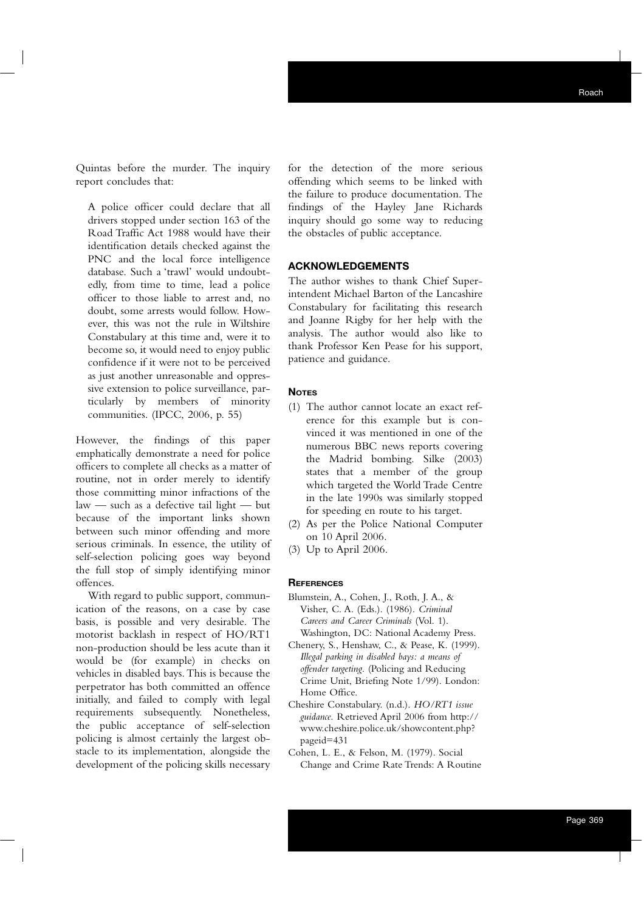Quintas before the murder. The inquiry report concludes that:

A police officer could declare that all drivers stopped under section 163 of the Road Traffic Act 1988 would have their identification details checked against the PNC and the local force intelligence database. Such a 'trawl' would undoubtedly, from time to time, lead a police officer to those liable to arrest and, no doubt, some arrests would follow. However, this was not the rule in Wiltshire Constabulary at this time and, were it to become so, it would need to enjoy public confidence if it were not to be perceived as just another unreasonable and oppressive extension to police surveillance, particularly by members of minority communities. (IPCC, 2006, p. 55)

However, the findings of this paper emphatically demonstrate a need for police officers to complete all checks as a matter of routine, not in order merely to identify those committing minor infractions of the law — such as a defective tail light — but because of the important links shown between such minor offending and more serious criminals. In essence, the utility of self-selection policing goes way beyond the full stop of simply identifying minor offences.

With regard to public support, communication of the reasons, on a case by case basis, is possible and very desirable. The motorist backlash in respect of HO/RT1 non-production should be less acute than it would be (for example) in checks on vehicles in disabled bays. This is because the perpetrator has both committed an offence initially, and failed to comply with legal requirements subsequently. Nonetheless, the public acceptance of self-selection policing is almost certainly the largest obstacle to its implementation, alongside the development of the policing skills necessary for the detection of the more serious offending which seems to be linked with the failure to produce documentation. The findings of the Hayley Jane Richards inquiry should go some way to reducing the obstacles of public acceptance.

# **ACKNOWLEDGEMENTS**

The author wishes to thank Chief Superintendent Michael Barton of the Lancashire Constabulary for facilitating this research and Joanne Rigby for her help with the analysis. The author would also like to thank Professor Ken Pease for his support, patience and guidance.

## **NOTES**

- (1) The author cannot locate an exact reference for this example but is convinced it was mentioned in one of the numerous BBC news reports covering the Madrid bombing. Silke (2003) states that a member of the group which targeted the World Trade Centre in the late 1990s was similarly stopped for speeding en route to his target.
- (2) As per the Police National Computer on 10 April 2006.
- (3) Up to April 2006.

#### **REFERENCES**

- Blumstein, A., Cohen, J., Roth, J. A., & Visher, C. A. (Eds.). (1986). *Criminal Careers and Career Criminals* (Vol. 1). Washington, DC: National Academy Press.
- Chenery, S., Henshaw, C., & Pease, K. (1999). *Illegal parking in disabled bays: a means of offender targeting*. (Policing and Reducing Crime Unit, Briefing Note 1/99). London: Home Office.
- Cheshire Constabulary. (n.d.). *HO/RT1 issue guidance.* Retrieved April 2006 from http:// www.cheshire.police.uk/showcontent.php? pageid=431
- Cohen, L. E., & Felson, M. (1979). Social Change and Crime Rate Trends: A Routine